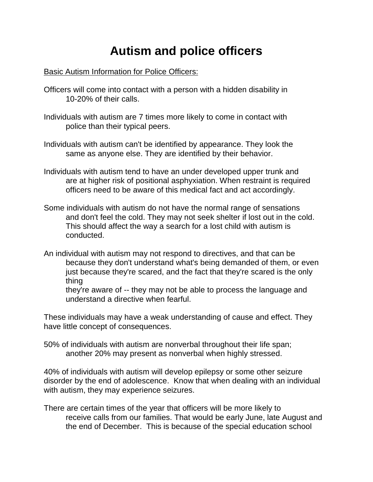## **Autism and police officers**

## Basic Autism Information for Police Officers:

- Officers will come into contact with a person with a hidden disability in 10-20% of their calls.
- Individuals with autism are 7 times more likely to come in contact with police than their typical peers.
- Individuals with autism can't be identified by appearance. They look the same as anyone else. They are identified by their behavior.
- Individuals with autism tend to have an under developed upper trunk and are at higher risk of positional asphyxiation. When restraint is required officers need to be aware of this medical fact and act accordingly.
- Some individuals with autism do not have the normal range of sensations and don't feel the cold. They may not seek shelter if lost out in the cold. This should affect the way a search for a lost child with autism is conducted.
- An individual with autism may not respond to directives, and that can be because they don't understand what's being demanded of them, or even just because they're scared, and the fact that they're scared is the only thing

they're aware of -- they may not be able to process the language and understand a directive when fearful.

These individuals may have a weak understanding of cause and effect. They have little concept of consequences.

50% of individuals with autism are nonverbal throughout their life span; another 20% may present as nonverbal when highly stressed.

40% of individuals with autism will develop epilepsy or some other seizure disorder by the end of adolescence. Know that when dealing with an individual with autism, they may experience seizures.

There are certain times of the year that officers will be more likely to receive calls from our families. That would be early June, late August and the end of December. This is because of the special education school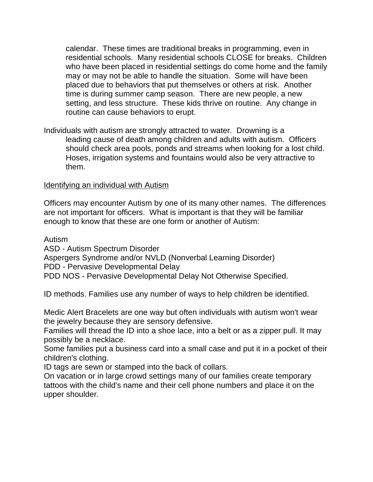calendar. These times are traditional breaks in programming, even in residential schools. Many residential schools CLOSE for breaks. Children who have been placed in residential settings do come home and the family may or may not be able to handle the situation. Some will have been placed due to behaviors that put themselves or others at risk. Another time is during summer camp season. There are new people, a new setting, and less structure. These kids thrive on routine. Any change in routine can cause behaviors to erupt.

Individuals with autism are strongly attracted to water. Drowning is a leading cause of death among children and adults with autism. Officers should check area pools, ponds and streams when looking for a lost child. Hoses, irrigation systems and fountains would also be very attractive to them.

## Identifying an individual with Autism

Officers may encounter Autism by one of its many other names. The differences are not important for officers. What is important is that they will be familiar enough to know that these are one form or another of Autism:

Autism

ASD - Autism Spectrum Disorder

Aspergers Syndrome and/or NVLD (Nonverbal Learning Disorder)

PDD - Pervasive Developmental Delay

PDD NOS - Pervasive Developmental Delay Not Otherwise Specified.

ID methods. Families use any number of ways to help children be identified.

Medic Alert Bracelets are one way but often individuals with autism won't wear the jewelry because they are sensory defensive.

Families will thread the ID into a shoe lace, into a belt or as a zipper pull. It may possibly be a necklace.

Some families put a business card into a small case and put it in a pocket of their children's clothing.

ID tags are sewn or stamped into the back of collars.

On vacation or in large crowd settings many of our families create temporary tattoos with the child's name and their cell phone numbers and place it on the upper shoulder.